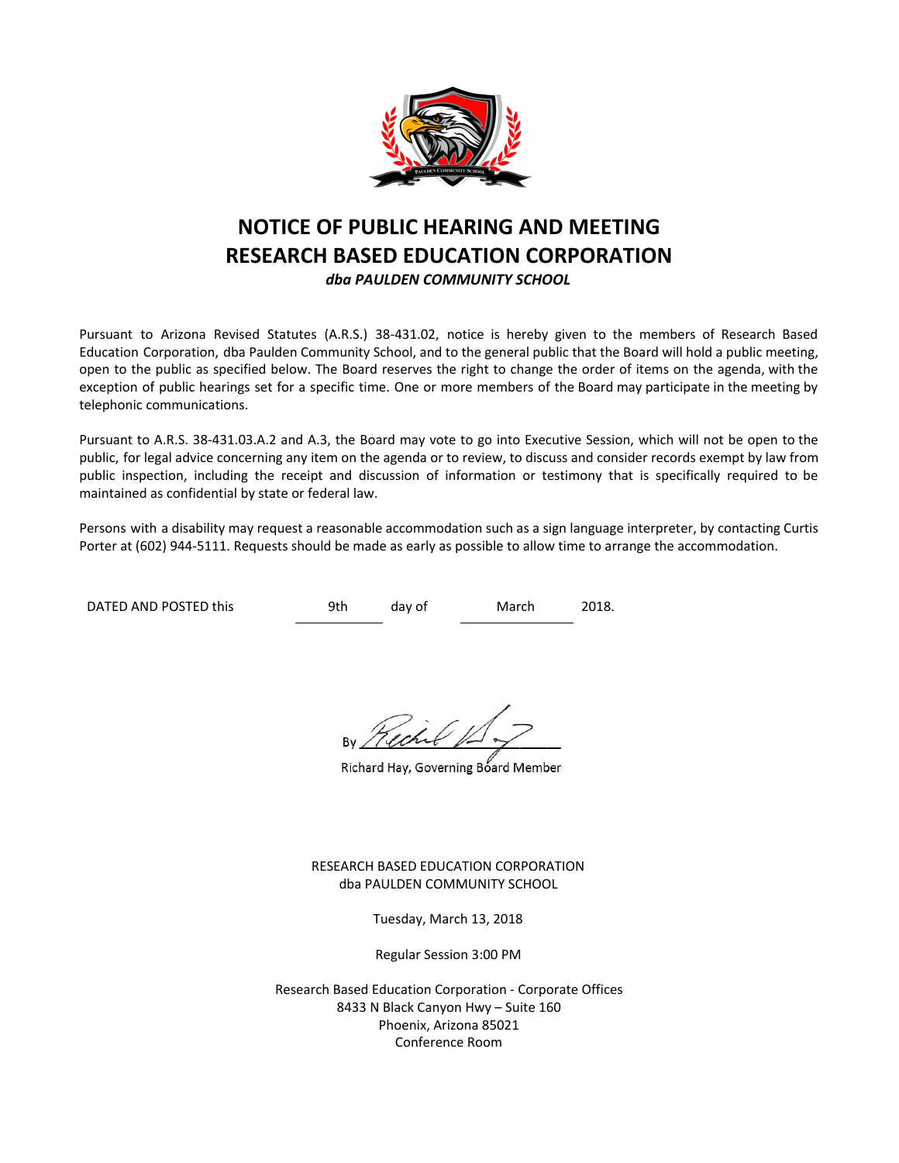

# **NOTICE OF PUBLIC HEARING AND MEETING RESEARCH BASED EDUCATION CORPORATION** *dba PAULDEN COMMUNITY SCHOOL*

Pursuant to Arizona Revised Statutes (A.R.S.) 38-431.02, notice is hereby given to the members of Research Based Education Corporation, dba Paulden Community School, and to the general public that the Board will hold a public meeting, open to the public as specified below. The Board reserves the right to change the order of items on the agenda, with the exception of public hearings set for a specific time. One or more members of the Board may participate in the meeting by telephonic communications.

Pursuant to A.R.S. 38-431.03.A.2 and A.3, the Board may vote to go into Executive Session, which will not be open to the public, for legal advice concerning any item on the agenda or to review, to discuss and consider records exempt by law from public inspection, including the receipt and discussion of information or testimony that is specifically required to be maintained as confidential by state or federal law.

Persons with a disability may request a reasonable accommodation such as a sign language interpreter, by contacting Curtis Porter at (602) 944-5111. Requests should be made as early as possible to allow time to arrange the accommodation.

DATED AND POSTED this 9th day of March 2018.

Richard Hay, Governing Board Member

RESEARCH BASED EDUCATION CORPORATION dba PAULDEN COMMUNITY SCHOOL

Tuesday, March 13, 2018

Regular Session 3:00 PM

Research Based Education Corporation - Corporate Offices 8433 N Black Canyon Hwy – Suite 160 Phoenix, Arizona 85021 Conference Room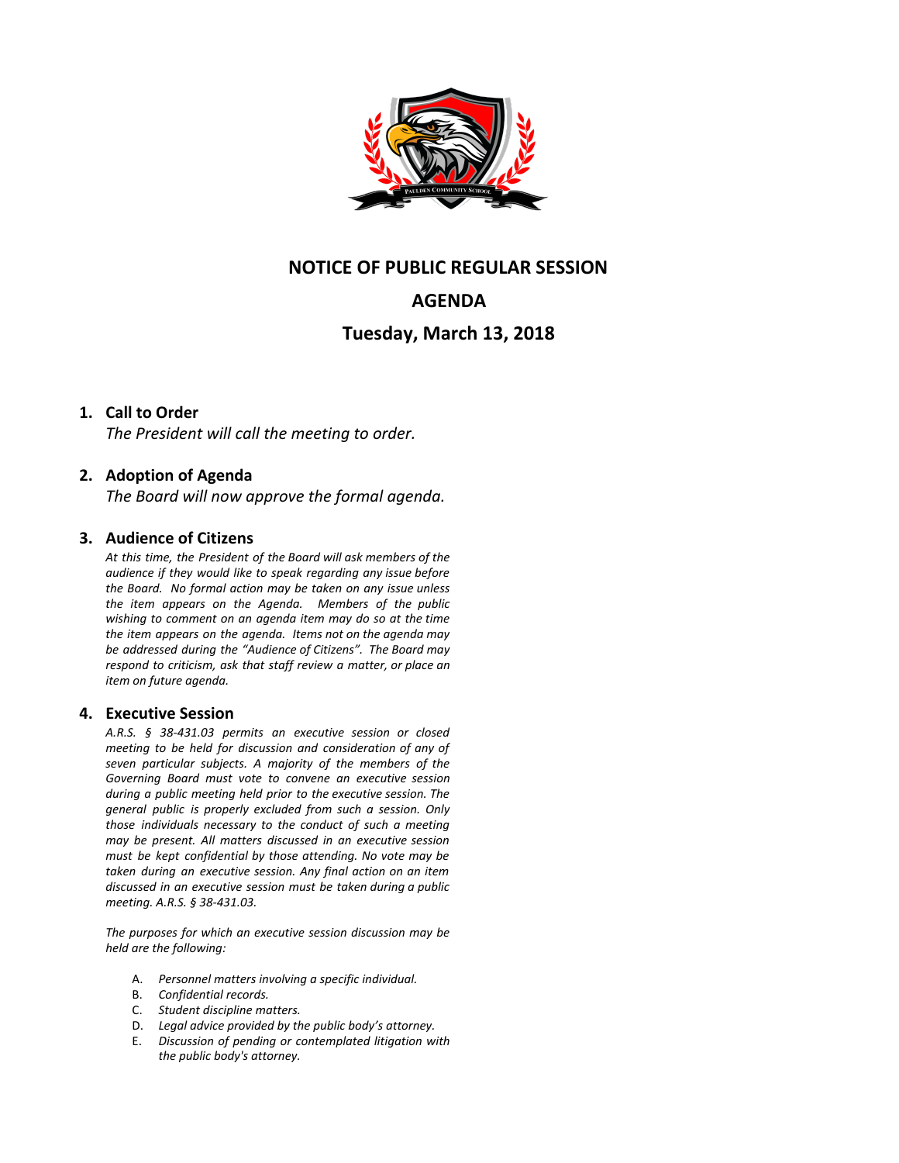

## **NOTICE OF PUBLIC REGULAR SESSION**

# **AGENDA**

## **Tuesday, March 13, 2018**

### **1. Call to Order**

*The President will call the meeting to order.*

### **2. Adoption of Agenda**

*The Board will now approve the formal agenda.*

#### **3. Audience of Citizens**

*At this time, the President of the Board will ask members of the audience if they would like to speak regarding any issue before the Board. No formal action may be taken on any issue unless the item appears on the Agenda. Members of the public wishing to comment on an agenda item may do so at the time the item appears on the agenda. Items not on the agenda may be addressed during the "Audience of Citizens". The Board may respond to criticism, ask that staff review a matter, or place an item on future agenda.*

#### **4. Executive Session**

*A.R.S. § 38-431.03 permits an executive session or closed meeting to be held for discussion and consideration of any of seven particular subjects. A majority of the members of the Governing Board must vote to convene an executive session during a public meeting held prior to the executive session. The general public is properly excluded from such a session. Only those individuals necessary to the conduct of such a meeting may be present. All matters discussed in an executive session must be kept confidential by those attending. No vote may be taken during an executive session. Any final action on an item discussed in an executive session must be taken during a public meeting. A.R.S. § 38-431.03.*

*The purposes for which an executive session discussion may be held are the following:*

- A. *Personnel matters involving a specific individual.*
- B. *Confidential records.*
- C. *Student discipline matters.*
- D. *Legal advice provided by the public body's attorney.*
- E. *Discussion of pending or contemplated litigation with the public body's attorney.*